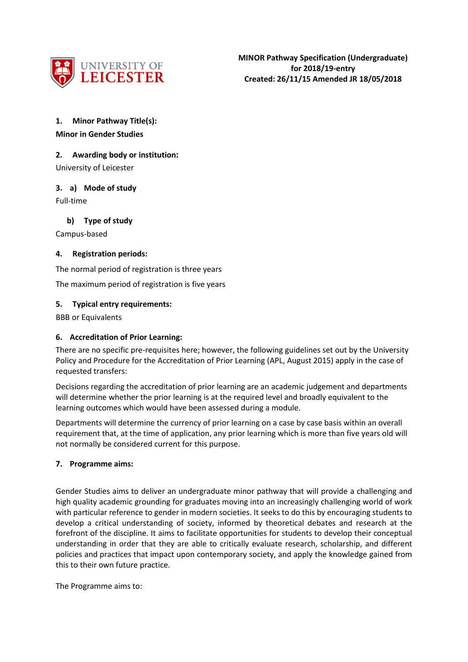

# **1. Minor Pathway Title(s): Minor in Gender Studies**

## **2. Awarding body or institution:**

University of Leicester

### **3. a) Mode of study**

Full-time

**b) Type of study**

Campus-based

### **4. Registration periods:**

The normal period of registration is three years

The maximum period of registration is five years

### **5. Typical entry requirements:**

BBB or Equivalents

### **6. Accreditation of Prior Learning:**

There are no specific pre-requisites here; however, the following guidelines set out by the University Policy and Procedure for the Accreditation of Prior Learning (APL, August 2015) apply in the case of requested transfers:

Decisions regarding the accreditation of prior learning are an academic judgement and departments will determine whether the prior learning is at the required level and broadly equivalent to the learning outcomes which would have been assessed during a module.

Departments will determine the currency of prior learning on a case by case basis within an overall requirement that, at the time of application, any prior learning which is more than five years old will not normally be considered current for this purpose.

### **7. Programme aims:**

Gender Studies aims to deliver an undergraduate minor pathway that will provide a challenging and high quality academic grounding for graduates moving into an increasingly challenging world of work with particular reference to gender in modern societies. It seeks to do this by encouraging students to develop a critical understanding of society, informed by theoretical debates and research at the forefront of the discipline. It aims to facilitate opportunities for students to develop their conceptual understanding in order that they are able to critically evaluate research, scholarship, and different policies and practices that impact upon contemporary society, and apply the knowledge gained from this to their own future practice.

The Programme aims to: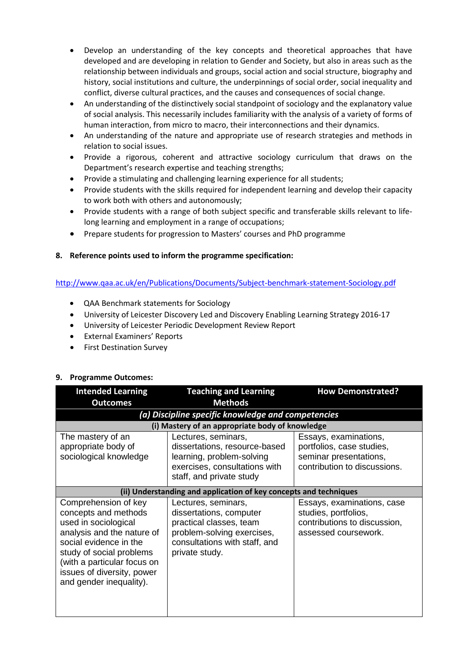- Develop an understanding of the key concepts and theoretical approaches that have developed and are developing in relation to Gender and Society, but also in areas such as the relationship between individuals and groups, social action and social structure, biography and history, social institutions and culture, the underpinnings of social order, social inequality and conflict, diverse cultural practices, and the causes and consequences of social change.
- An understanding of the distinctively social standpoint of sociology and the explanatory value of social analysis. This necessarily includes familiarity with the analysis of a variety of forms of human interaction, from micro to macro, their interconnections and their dynamics.
- An understanding of the nature and appropriate use of research strategies and methods in relation to social issues.
- Provide a rigorous, coherent and attractive sociology curriculum that draws on the Department's research expertise and teaching strengths;
- Provide a stimulating and challenging learning experience for all students;
- Provide students with the skills required for independent learning and develop their capacity to work both with others and autonomously;
- Provide students with a range of both subject specific and transferable skills relevant to lifelong learning and employment in a range of occupations;
- Prepare students for progression to Masters' courses and PhD programme

## **8. Reference points used to inform the programme specification:**

## <http://www.qaa.ac.uk/en/Publications/Documents/Subject-benchmark-statement-Sociology.pdf>

- QAA Benchmark statements for Sociology
- University of Leicester Discovery Led and Discovery Enabling Learning Strategy 2016-17
- University of Leicester Periodic Development Review Report
- External Examiners' Reports
- First Destination Survey

## **9. Programme Outcomes:**

| <b>Intended Learning</b>                                                                                                                                                                                                                         | <b>Teaching and Learning</b>                                                                                                                               | <b>How Demonstrated?</b>                                                                                     |  |  |
|--------------------------------------------------------------------------------------------------------------------------------------------------------------------------------------------------------------------------------------------------|------------------------------------------------------------------------------------------------------------------------------------------------------------|--------------------------------------------------------------------------------------------------------------|--|--|
| <b>Outcomes</b>                                                                                                                                                                                                                                  | <b>Methods</b>                                                                                                                                             |                                                                                                              |  |  |
| (a) Discipline specific knowledge and competencies                                                                                                                                                                                               |                                                                                                                                                            |                                                                                                              |  |  |
| (i) Mastery of an appropriate body of knowledge                                                                                                                                                                                                  |                                                                                                                                                            |                                                                                                              |  |  |
| The mastery of an<br>appropriate body of<br>sociological knowledge                                                                                                                                                                               | Lectures, seminars,<br>dissertations, resource-based<br>learning, problem-solving<br>exercises, consultations with<br>staff, and private study             | Essays, examinations,<br>portfolios, case studies,<br>seminar presentations,<br>contribution to discussions. |  |  |
| (ii) Understanding and application of key concepts and techniques                                                                                                                                                                                |                                                                                                                                                            |                                                                                                              |  |  |
| Comprehension of key<br>concepts and methods<br>used in sociological<br>analysis and the nature of<br>social evidence in the<br>study of social problems<br>(with a particular focus on<br>issues of diversity, power<br>and gender inequality). | Lectures, seminars,<br>dissertations, computer<br>practical classes, team<br>problem-solving exercises,<br>consultations with staff, and<br>private study. | Essays, examinations, case<br>studies, portfolios,<br>contributions to discussion,<br>assessed coursework.   |  |  |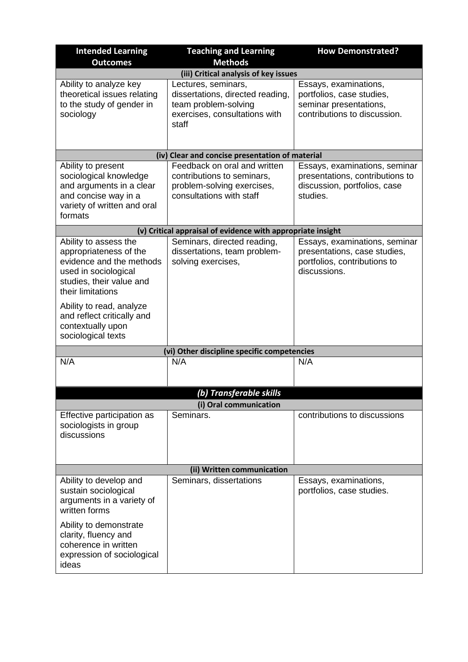| <b>Intended Learning</b>                                                                                                                                                                             | <b>Teaching and Learning</b>                                                                                              | <b>How Demonstrated?</b>                                                                                      |  |  |
|------------------------------------------------------------------------------------------------------------------------------------------------------------------------------------------------------|---------------------------------------------------------------------------------------------------------------------------|---------------------------------------------------------------------------------------------------------------|--|--|
| <b>Outcomes</b>                                                                                                                                                                                      | <b>Methods</b>                                                                                                            |                                                                                                               |  |  |
|                                                                                                                                                                                                      | (iii) Critical analysis of key issues                                                                                     |                                                                                                               |  |  |
| Ability to analyze key<br>theoretical issues relating<br>to the study of gender in<br>sociology                                                                                                      | Lectures, seminars,<br>dissertations, directed reading,<br>team problem-solving<br>exercises, consultations with<br>staff | Essays, examinations,<br>portfolios, case studies,<br>seminar presentations,<br>contributions to discussion.  |  |  |
|                                                                                                                                                                                                      | (iv) Clear and concise presentation of material                                                                           |                                                                                                               |  |  |
| Ability to present<br>sociological knowledge<br>and arguments in a clear<br>and concise way in a<br>variety of written and oral<br>formats                                                           | Feedback on oral and written<br>contributions to seminars,<br>problem-solving exercises,<br>consultations with staff      | Essays, examinations, seminar<br>presentations, contributions to<br>discussion, portfolios, case<br>studies.  |  |  |
|                                                                                                                                                                                                      | (v) Critical appraisal of evidence with appropriate insight                                                               |                                                                                                               |  |  |
| Ability to assess the<br>appropriateness of the<br>evidence and the methods<br>used in sociological<br>studies, their value and<br>their limitations                                                 | Seminars, directed reading,<br>dissertations, team problem-<br>solving exercises,                                         | Essays, examinations, seminar<br>presentations, case studies,<br>portfolios, contributions to<br>discussions. |  |  |
| Ability to read, analyze<br>and reflect critically and<br>contextually upon<br>sociological texts                                                                                                    |                                                                                                                           |                                                                                                               |  |  |
|                                                                                                                                                                                                      | (vi) Other discipline specific competencies                                                                               |                                                                                                               |  |  |
| N/A                                                                                                                                                                                                  | N/A                                                                                                                       | N/A                                                                                                           |  |  |
|                                                                                                                                                                                                      | (b) Transferable skills                                                                                                   |                                                                                                               |  |  |
|                                                                                                                                                                                                      | (i) Oral communication                                                                                                    |                                                                                                               |  |  |
| Effective participation as<br>sociologists in group<br>discussions                                                                                                                                   | Seminars.                                                                                                                 | contributions to discussions                                                                                  |  |  |
| (ii) Written communication                                                                                                                                                                           |                                                                                                                           |                                                                                                               |  |  |
| Ability to develop and<br>sustain sociological<br>arguments in a variety of<br>written forms<br>Ability to demonstrate<br>clarity, fluency and<br>coherence in written<br>expression of sociological | Seminars, dissertations                                                                                                   | Essays, examinations,<br>portfolios, case studies.                                                            |  |  |
| ideas                                                                                                                                                                                                |                                                                                                                           |                                                                                                               |  |  |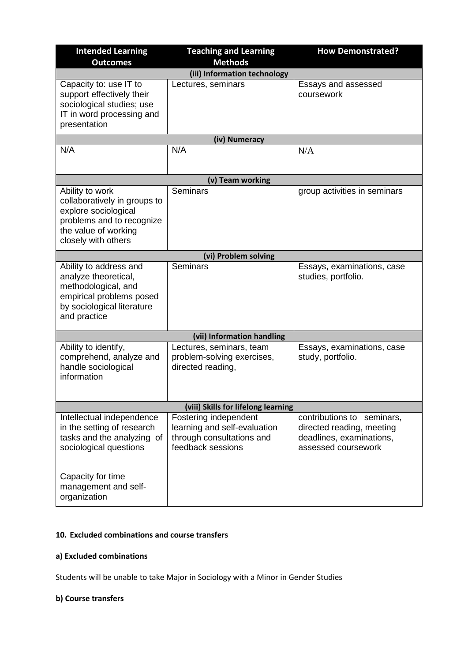| <b>Intended Learning</b>                                                                                                                            | <b>Teaching and Learning</b>                                                                            | <b>How Demonstrated?</b>                                                                                      |  |  |
|-----------------------------------------------------------------------------------------------------------------------------------------------------|---------------------------------------------------------------------------------------------------------|---------------------------------------------------------------------------------------------------------------|--|--|
| <b>Outcomes</b>                                                                                                                                     | <b>Methods</b>                                                                                          |                                                                                                               |  |  |
|                                                                                                                                                     | (iii) Information technology                                                                            |                                                                                                               |  |  |
| Capacity to: use IT to<br>support effectively their<br>sociological studies; use<br>IT in word processing and<br>presentation                       | Lectures, seminars                                                                                      | Essays and assessed<br>coursework                                                                             |  |  |
|                                                                                                                                                     | (iv) Numeracy                                                                                           |                                                                                                               |  |  |
| N/A                                                                                                                                                 | N/A                                                                                                     | N/A                                                                                                           |  |  |
|                                                                                                                                                     | (v) Team working                                                                                        |                                                                                                               |  |  |
| Ability to work<br>collaboratively in groups to<br>explore sociological<br>problems and to recognize<br>the value of working<br>closely with others | Seminars                                                                                                | group activities in seminars                                                                                  |  |  |
|                                                                                                                                                     | (vi) Problem solving                                                                                    |                                                                                                               |  |  |
| Ability to address and<br>analyze theoretical,<br>methodological, and<br>empirical problems posed<br>by sociological literature<br>and practice     | Seminars                                                                                                | Essays, examinations, case<br>studies, portfolio.                                                             |  |  |
| (vii) Information handling                                                                                                                          |                                                                                                         |                                                                                                               |  |  |
| Ability to identify,<br>comprehend, analyze and<br>handle sociological<br>information                                                               | Lectures, seminars, team<br>problem-solving exercises,<br>directed reading,                             | Essays, examinations, case<br>study, portfolio.                                                               |  |  |
| (viii) Skills for lifelong learning                                                                                                                 |                                                                                                         |                                                                                                               |  |  |
| Intellectual independence<br>in the setting of research<br>tasks and the analyzing of<br>sociological questions<br>Capacity for time                | Fostering independent<br>learning and self-evaluation<br>through consultations and<br>feedback sessions | contributions to<br>seminars,<br>directed reading, meeting<br>deadlines, examinations,<br>assessed coursework |  |  |
| management and self-<br>organization                                                                                                                |                                                                                                         |                                                                                                               |  |  |

## **10. Excluded combinations and course transfers**

### **a) Excluded combinations**

Students will be unable to take Major in Sociology with a Minor in Gender Studies

### **b) Course transfers**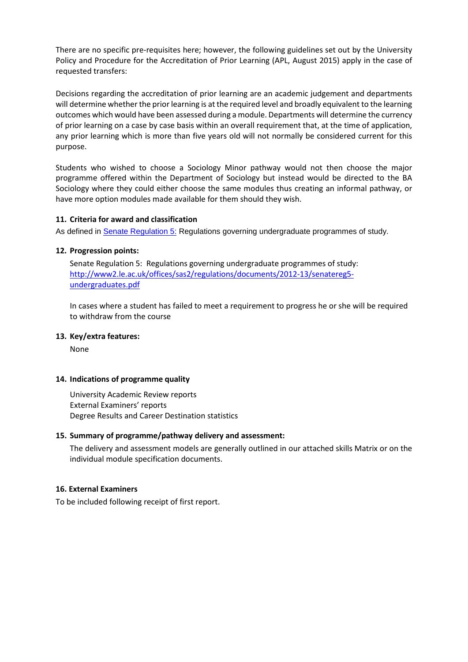There are no specific pre-requisites here; however, the following guidelines set out by the University Policy and Procedure for the Accreditation of Prior Learning (APL, August 2015) apply in the case of requested transfers:

Decisions regarding the accreditation of prior learning are an academic judgement and departments will determine whether the prior learning is at the required level and broadly equivalent to the learning outcomes which would have been assessed during a module. Departments will determine the currency of prior learning on a case by case basis within an overall requirement that, at the time of application, any prior learning which is more than five years old will not normally be considered current for this purpose.

Students who wished to choose a Sociology Minor pathway would not then choose the major programme offered within the Department of Sociology but instead would be directed to the BA Sociology where they could either choose the same modules thus creating an informal pathway, or have more option modules made available for them should they wish.

### **11. Criteria for award and classification**

As defined in [Senate Regulation 5:](http://www.le.ac.uk/senate-regulation5) Regulations governing undergraduate programmes of study.

### **12. Progression points:**

Senate Regulation 5: Regulations governing undergraduate programmes of study: [http://www2.le.ac.uk/offices/sas2/regulations/documents/2012-13/senatereg5](http://www2.le.ac.uk/offices/sas2/regulations/documents/2012-13/senatereg5-undergraduates.pdf) [undergraduates.pdf](http://www2.le.ac.uk/offices/sas2/regulations/documents/2012-13/senatereg5-undergraduates.pdf)

In cases where a student has failed to meet a requirement to progress he or she will be required to withdraw from the course

### **13. Key/extra features:**

None

### **14. Indications of programme quality**

University Academic Review reports External Examiners' reports Degree Results and Career Destination statistics

### **15. Summary of programme/pathway delivery and assessment:**

The delivery and assessment models are generally outlined in our attached skills Matrix or on the individual module specification documents.

### **16. External Examiners**

To be included following receipt of first report.